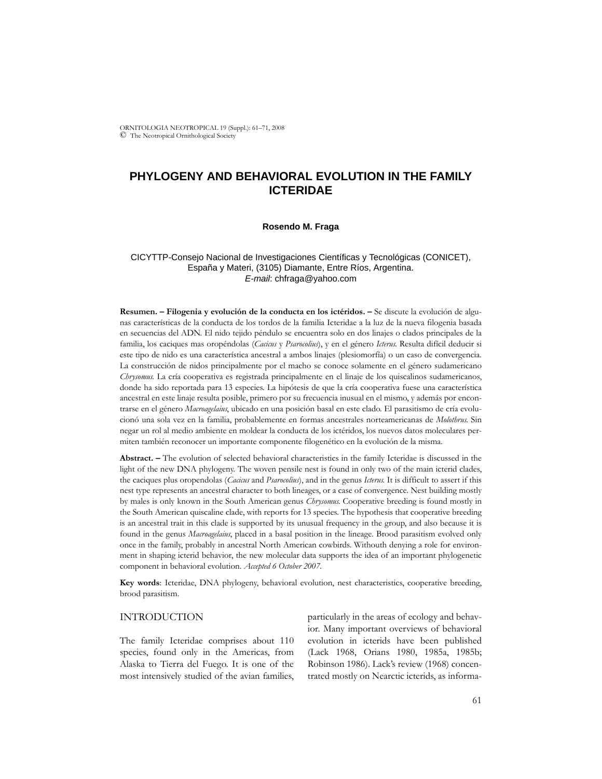ORNITOLOGIA NEOTROPICAL 19 (Suppl.): 61–71, 2008 © The Neotropical Ornithological Society

# **PHYLOGENY AND BEHAVIORAL EVOLUTION IN THE FAMILY ICTERIDAE**

### **Rosendo M. Fraga**

## CICYTTP-Consejo Nacional de Investigaciones Científicas y Tecnológicas (CONICET), España y Materi, (3105) Diamante, Entre Ríos, Argentina. *E-mail*: chfraga@yahoo.com

**Resumen. – Filogenia y evolución de la conducta en los ictéridos. –** Se discute la evolución de algunas características de la conducta de los tordos de la familia Icteridae a la luz de la nueva filogenia basada en secuencias del ADN. El nido tejido péndulo se encuentra solo en dos linajes o clados principales de la familia, los caciques mas oropéndolas (*Cacicus* y *Psarocolius*), y en el género *Icterus*. Resulta difícil deducir si este tipo de nido es una característica ancestral a ambos linajes (plesiomorfía) o un caso de convergencia. La construcción de nidos principalmente por el macho se conoce solamente en el género sudamericano *Chrysomus*. La cría cooperativa es registrada principalmente en el linaje de los quiscalinos sudamericanos, donde ha sido reportada para 13 especies. La hipótesis de que la cría cooperativa fuese una característica ancestral en este linaje resulta posible, primero por su frecuencia inusual en el mismo, y además por encontrarse en el género *Macroagelaius*, ubicado en una posición basal en este clado. El parasitismo de cría evolucionó una sola vez en la familia, probablemente en formas ancestrales norteamericanas de *Molothrus*. Sin negar un rol al medio ambiente en moldear la conducta de los ictéridos, los nuevos datos moleculares permiten también reconocer un importante componente filogenético en la evolución de la misma.

**Abstract. –** The evolution of selected behavioral characteristics in the family Icteridae is discussed in the light of the new DNA phylogeny. The woven pensile nest is found in only two of the main icterid clades, the caciques plus oropendolas (*Cacicus* and *Psarocolius*), and in the genus *Icterus*. It is difficult to assert if this nest type represents an ancestral character to both lineages, or a case of convergence. Nest building mostly by males is only known in the South American genus *Chrysomus*. Cooperative breeding is found mostly in the South American quiscaline clade, with reports for 13 species. The hypothesis that cooperative breeding is an ancestral trait in this clade is supported by its unusual frequency in the group, and also because it is found in the genus *Macroagelaius*, placed in a basal position in the lineage. Brood parasitism evolved only once in the family, probably in ancestral North American cowbirds. Withouth denying a role for environment in shaping icterid behavior, the new molecular data supports the idea of an important phylogenetic component in behavioral evolution. *Accepted 6 October 2007.*

**Key words**: Icteridae, DNA phylogeny, behavioral evolution, nest characteristics, cooperative breeding, brood parasitism.

# INTRODUCTION

The family Icteridae comprises about 110 species, found only in the Americas, from Alaska to Tierra del Fuego. It is one of the most intensively studied of the avian families,

particularly in the areas of ecology and behavior. Many important overviews of behavioral evolution in icterids have been published (Lack 1968, Orians 1980, 1985a, 1985b; Robinson 1986). Lack's review (1968) concentrated mostly on Nearctic icterids, as informa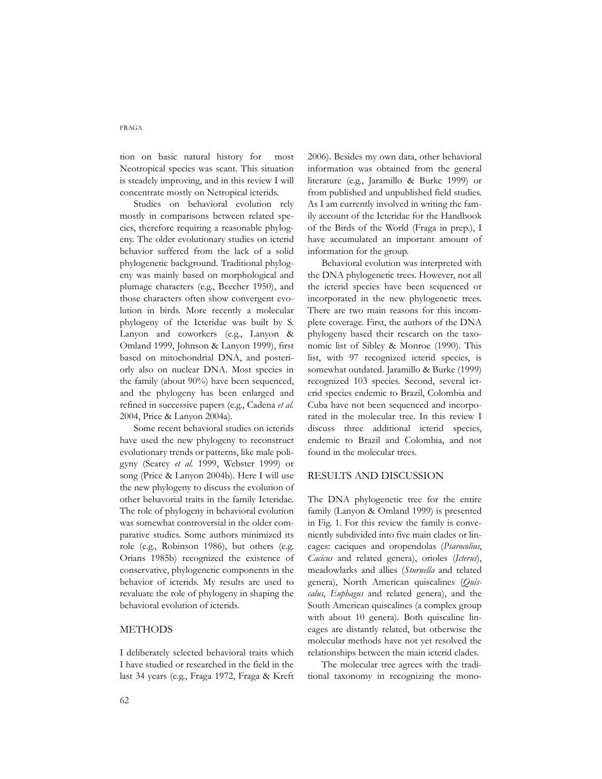tion on basic natural history for most Neotropical species was scant. This situation is steadely improving, and in this review I will concentrate mostly on Netropical icterids.

Studies on behavioral evolution rely mostly in comparisons between related species, therefore requiring a reasonable phylogeny. The older evolutionary studies on icterid behavior suffered from the lack of a solid phylogenetic background. Traditional phylogeny was mainly based on morphological and plumage characters (e.g., Beecher 1950), and those characters often show convergent evolution in birds. More recently a molecular phylogeny of the Icteridae was built by S. Lanyon and coworkers (e.g., Lanyon & Omland 1999, Johnson & Lanyon 1999), first based on mitochondrial DNA, and posteriorly also on nuclear DNA. Most species in the family (about 90%) have been sequenced, and the phylogeny has been enlarged and refined in successive papers (e.g., Cadena *et al.* 2004, Price & Lanyon 2004a).

Some recent behavioral studies on icterids have used the new phylogeny to reconstruct evolutionary trends or patterns, like male poligyny (Searcy *et al.* 1999, Webster 1999) or song (Price & Lanyon 2004b). Here I will use the new phylogeny to discuss the evolution of other behavorial traits in the family Icteridae. The role of phylogeny in behavioral evolution was somewhat controversial in the older comparative studies. Some authors minimized its role (e.g., Robinson 1986), but others (e.g. Orians 1985b) recognized the existence of conservative, phylogenetic components in the behavior of icterids. My results are used to revaluate the role of phylogeny in shaping the behavioral evolution of icterids.

## METHODS

I deliberately selected behavioral traits which I have studied or researched in the field in the last 34 years (e.g., Fraga 1972, Fraga & Kreft

2006). Besides my own data, other behavioral information was obtained from the general literature (e.g., Jaramillo & Burke 1999) or from published and unpublished field studies. As I am currently involved in writing the family account of the Icteridae for the Handbook of the Birds of the World (Fraga in prep.), I have accumulated an important amount of information for the group.

Behavioral evolution was interpreted with the DNA phylogenetic trees. However, not all the icterid species have been sequenced or incorporated in the new phylogenetic trees. There are two main reasons for this incomplete coverage. First, the authors of the DNA phylogeny based their research on the taxonomic list of Sibley & Monroe (1990). This list, with 97 recognized icterid species, is somewhat outdated. Jaramillo & Burke (1999) recognized 103 species. Second, several icterid species endemic to Brazil, Colombia and Cuba have not been sequenced and incorporated in the molecular tree. In this review I discuss three additional icterid species, endemic to Brazil and Colombia, and not found in the molecular trees.

# RESULTS AND DISCUSSION

The DNA phylogenetic tree for the entire family (Lanyon & Omland 1999) is presented in Fig. 1. For this review the family is conveniently subdivided into five main clades or lineages: caciques and oropendolas (*Psarocolius*, *Cacicus* and related genera), orioles (*Icterus*), meadowlarks and allies (*Sturnella* and related genera), North American quiscalines (*Quiscalus*, *Euphagus* and related genera), and the South American quiscalines (a complex group with about 10 genera). Both quiscaline lineages are distantly related, but otherwise the molecular methods have not yet resolved the relationships between the main icterid clades.

The molecular tree agrees with the traditional taxonomy in recognizing the mono-

#### FRAGA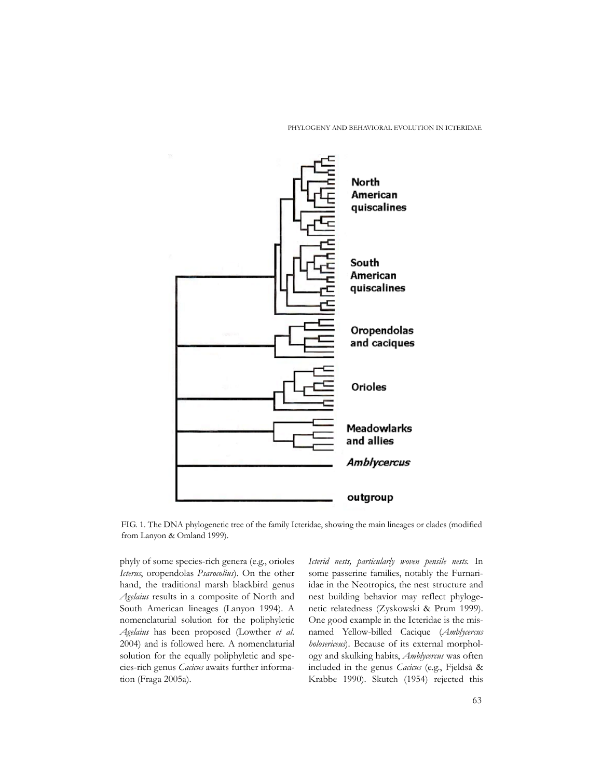PHYLOGENY AND BEHAVIORAL EVOLUTION IN ICTERIDAE



FIG. 1. The DNA phylogenetic tree of the family Icteridae, showing the main lineages or clades (modified from Lanyon & Omland 1999).

phyly of some species-rich genera (e.g., orioles *Icterus*, oropendolas *Psarocolius*). On the other hand, the traditional marsh blackbird genus *Agelaius* results in a composite of North and South American lineages (Lanyon 1994). A nomenclaturial solution for the poliphyletic *Agelaius* has been proposed (Lowther *et al.* 2004) and is followed here. A nomenclaturial solution for the equally poliphyletic and species-rich genus *Cacicus* awaits further information (Fraga 2005a).

*Icterid nests, particularly woven pensile nests.* In some passerine families, notably the Furnariidae in the Neotropics, the nest structure and nest building behavior may reflect phylogenetic relatedness (Zyskowski & Prum 1999). One good example in the Icteridae is the misnamed Yellow-billed Cacique (*Amblycercus holosericeus*). Because of its external morphology and skulking habits, *Amblycercus* was often included in the genus *Cacicus* (e.g., Fjeldså & Krabbe 1990). Skutch (1954) rejected this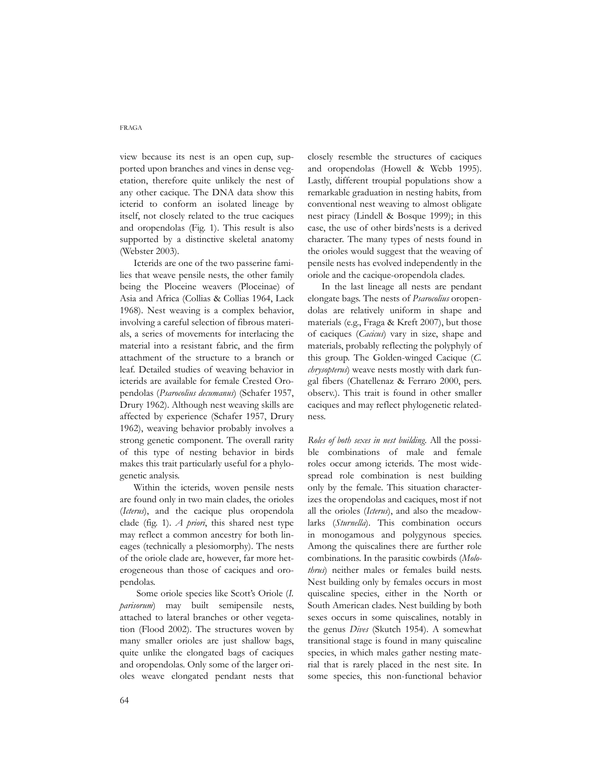view because its nest is an open cup, supported upon branches and vines in dense vegetation, therefore quite unlikely the nest of any other cacique. The DNA data show this icterid to conform an isolated lineage by itself, not closely related to the true caciques and oropendolas (Fig. 1). This result is also supported by a distinctive skeletal anatomy (Webster 2003).

Icterids are one of the two passerine families that weave pensile nests, the other family being the Ploceine weavers (Ploceinae) of Asia and Africa (Collias & Collias 1964, Lack 1968). Nest weaving is a complex behavior, involving a careful selection of fibrous materials, a series of movements for interlacing the material into a resistant fabric, and the firm attachment of the structure to a branch or leaf. Detailed studies of weaving behavior in icterids are available for female Crested Oropendolas (*Psarocolius decumanus*) (Schafer 1957, Drury 1962). Although nest weaving skills are affected by experience (Schafer 1957, Drury 1962), weaving behavior probably involves a strong genetic component. The overall rarity of this type of nesting behavior in birds makes this trait particularly useful for a phylogenetic analysis.

Within the icterids, woven pensile nests are found only in two main clades, the orioles (*Icterus*), and the cacique plus oropendola clade (fig. 1). *A priori*, this shared nest type may reflect a common ancestry for both lineages (technically a plesiomorphy). The nests of the oriole clade are, however, far more heterogeneous than those of caciques and oropendolas.

Some oriole species like Scott's Oriole (*I. parisorum*) may built semipensile nests, attached to lateral branches or other vegetation (Flood 2002). The structures woven by many smaller orioles are just shallow bags, quite unlike the elongated bags of caciques and oropendolas. Only some of the larger orioles weave elongated pendant nests that closely resemble the structures of caciques and oropendolas (Howell & Webb 1995). Lastly, different troupial populations show a remarkable graduation in nesting habits, from conventional nest weaving to almost obligate nest piracy (Lindell & Bosque 1999); in this case, the use of other birds'nests is a derived character. The many types of nests found in the orioles would suggest that the weaving of pensile nests has evolved independently in the oriole and the cacique-oropendola clades.

In the last lineage all nests are pendant elongate bags. The nests of *Psarocolius* oropendolas are relatively uniform in shape and materials (e.g., Fraga & Kreft 2007), but those of caciques (*Cacicus*) vary in size, shape and materials, probably reflecting the polyphyly of this group. The Golden-winged Cacique (*C. chrysopterus*) weave nests mostly with dark fungal fibers (Chatellenaz & Ferraro 2000, pers. observ.). This trait is found in other smaller caciques and may reflect phylogenetic relatedness.

*Roles of both sexes in nest building.* All the possible combinations of male and female roles occur among icterids. The most widespread role combination is nest building only by the female. This situation characterizes the oropendolas and caciques, most if not all the orioles (*Icterus*), and also the meadowlarks (*Sturnella*). This combination occurs in monogamous and polygynous species. Among the quiscalines there are further role combinations. In the parasitic cowbirds (*Molothrus*) neither males or females build nests. Nest building only by females occurs in most quiscaline species, either in the North or South American clades. Nest building by both sexes occurs in some quiscalines, notably in the genus *Dives* (Skutch 1954). A somewhat transitional stage is found in many quiscaline species, in which males gather nesting material that is rarely placed in the nest site. In some species, this non-functional behavior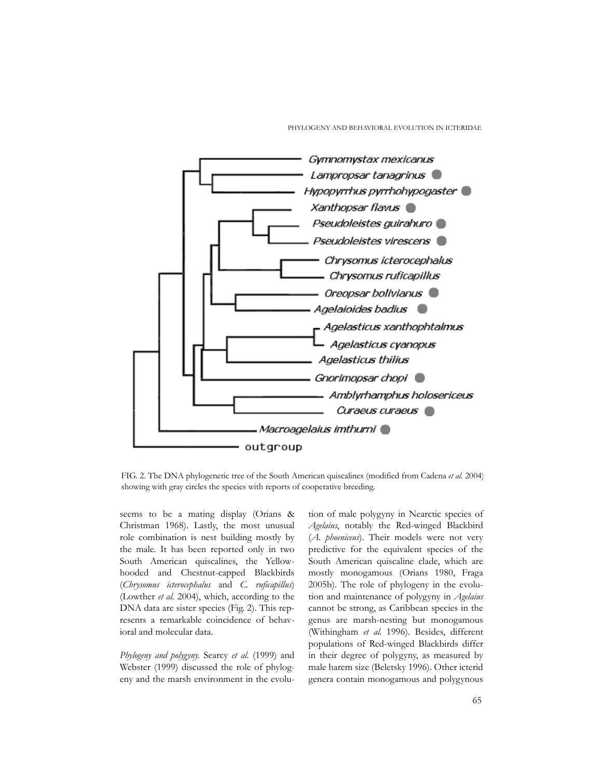PHYLOGENY AND BEHAVIORAL EVOLUTION IN ICTERIDAE



FIG. 2. The DNA phylogenetic tree of the South American quiscalines (modified from Cadena *et al.* 2004) showing with gray circles the species with reports of cooperative breeding.

seems to be a mating display (Orians & Christman 1968). Lastly, the most unusual role combination is nest building mostly by the male. It has been reported only in two South American quiscalines, the Yellowhooded and Chestnut-capped Blackbirds (*Chrysomus icterocephalus* and *C*. *ruficapillus*) (Lowther *et al.* 2004), which, according to the DNA data are sister species (Fig. 2). This represents a remarkable coincidence of behavioral and molecular data.

*Phylogeny and polygyny.* Searcy *et al.* (1999) and Webster (1999) discussed the role of phylogeny and the marsh environment in the evolu-

tion of male polygyny in Nearctic species of *Agelaius*, notably the Red-winged Blackbird (*A*. *phoeniceus*). Their models were not very predictive for the equivalent species of the South American quiscaline clade, which are mostly monogamous (Orians 1980, Fraga 2005b). The role of phylogeny in the evolution and maintenance of polygyny in *Agelaius* cannot be strong, as Caribbean species in the genus are marsh-nesting but monogamous (Withingham *et al.* 1996). Besides, different populations of Red-winged Blackbirds differ in their degree of polygyny, as measured by male harem size (Beletsky 1996). Other icterid genera contain monogamous and polygynous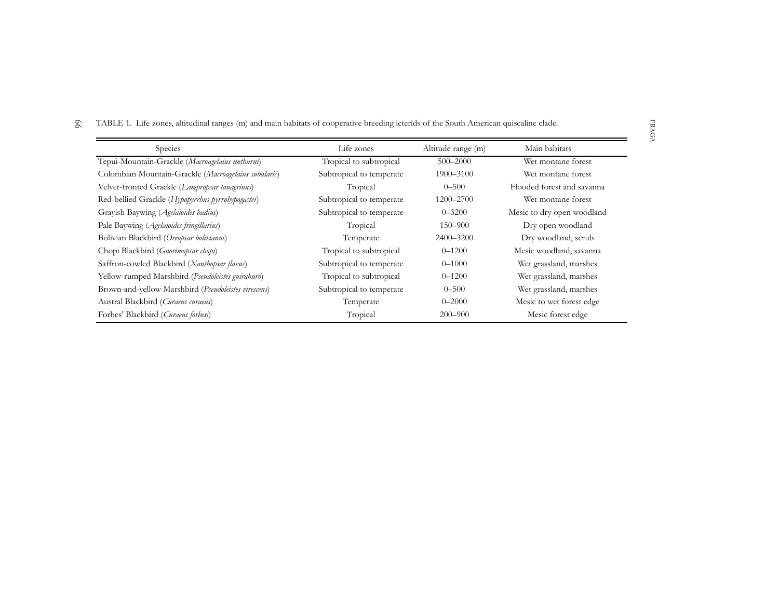6 6 TABLE 1. Life zones, altitudinal ranges (m) and main habitats of cooperative breeding icterids of the South American quiscaline clade.

| Species                                              | Life zones               | Altitude range (m) | Main habitats              |
|------------------------------------------------------|--------------------------|--------------------|----------------------------|
| Tepui-Mountain-Grackle (Macroagelaius imthurni)      | Tropical to subtropical  | $500 - 2000$       | Wet montane forest         |
| Colombian Mountain-Grackle (Macroagelaius subalaris) | Subtropical to temperate | 1900-3100          | Wet montane forest         |
| Velvet-fronted Grackle (Lampropsar tanagrinus)       | Tropical                 | $0 - 500$          | Flooded forest and savanna |
| Red-bellied Grackle (Hypopyrrhus pyrrohypogaster)    | Subtropical to temperate | 1200-2700          | Wet montane forest         |
| Grayish Baywing (Agelaioides badius)                 | Subtropical to temperate | $0 - 3200$         | Mesic to dry open woodland |
| Pale Baywing ( <i>Agelaioides fringillarius</i> )    | Tropical                 | 150–900            | Dry open woodland          |
| Bolivian Blackbird (Oreopsar bolivianus)             | Temperate                | 2400-3200          | Dry woodland, scrub        |
| Chopi Blackbird ( <i>Gnorimopsar chopi</i> )         | Tropical to subtropical  | $0 - 1200$         | Mesic woodland, savanna    |
| Saffron-cowled Blackbird (Xanthopsar flavus)         | Subtropical to temperate | $0 - 1000$         | Wet grassland, marshes     |
| Yellow-rumped Marshbird (Pseudoleistes guirahuro)    | Tropical to subtropical  | $0 - 1200$         | Wet grassland, marshes     |
| Brown-and-yellow Marshbird (Pseudoleistes virescens) | Subtropical to temperate | $0 - 500$          | Wet grassland, marshes     |
| Austral Blackbird (Curaeus curaeus)                  | Temperate                | $0 - 2000$         | Mesic to wet forest edge   |
| Forbes' Blackbird (Curaeus forbesi)                  | Tropical                 | $200 - 900$        | Mesic forest edge          |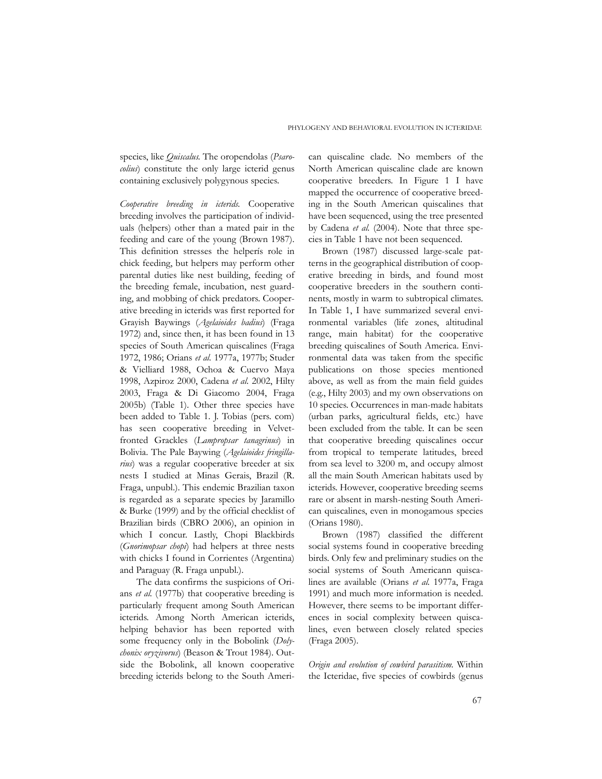species, like *Quiscalus*. The oropendolas (*Psarocolius*) constitute the only large icterid genus containing exclusively polygynous species.

*Cooperative breeding in icterids.* Cooperative breeding involves the participation of individuals (helpers) other than a mated pair in the feeding and care of the young (Brown 1987). This definition stresses the helperís role in chick feeding, but helpers may perform other parental duties like nest building, feeding of the breeding female, incubation, nest guarding, and mobbing of chick predators. Cooperative breeding in icterids was first reported for Grayish Baywings (*Agelaioides badius*) (Fraga 1972) and, since then, it has been found in 13 species of South American quiscalines (Fraga 1972, 1986; Orians *et al.* 1977a, 1977b; Studer & Vielliard 1988, Ochoa & Cuervo Maya 1998, Azpiroz 2000, Cadena *et al.* 2002, Hilty 2003, Fraga & Di Giacomo 2004, Fraga 2005b) (Table 1). Other three species have been added to Table 1. J. Tobias (pers. com) has seen cooperative breeding in Velvetfronted Grackles (*Lampropsar tanagrinus*) in Bolivia. The Pale Baywing (*Agelaioides fringillarius*) was a regular cooperative breeder at six nests I studied at Minas Gerais, Brazil (R. Fraga, unpubl.). This endemic Brazilian taxon is regarded as a separate species by Jaramillo & Burke (1999) and by the official checklist of Brazilian birds (CBRO 2006), an opinion in which I concur. Lastly, Chopi Blackbirds (*Gnorimopsar chopi*) had helpers at three nests with chicks I found in Corrientes (Argentina) and Paraguay (R. Fraga unpubl.).

The data confirms the suspicions of Orians *et al.* (1977b) that cooperative breeding is particularly frequent among South American icterids. Among North American icterids, helping behavior has been reported with some frequency only in the Bobolink (*Dolychonix oryzivorus*) (Beason & Trout 1984). Outside the Bobolink, all known cooperative breeding icterids belong to the South Ameri-

can quiscaline clade. No members of the North American quiscaline clade are known cooperative breeders. In Figure 1 I have mapped the occurrence of cooperative breeding in the South American quiscalines that have been sequenced, using the tree presented by Cadena *et al.* (2004). Note that three species in Table 1 have not been sequenced.

Brown (1987) discussed large-scale patterns in the geographical distribution of cooperative breeding in birds, and found most cooperative breeders in the southern continents, mostly in warm to subtropical climates. In Table 1, I have summarized several environmental variables (life zones, altitudinal range, main habitat) for the cooperative breeding quiscalines of South America. Environmental data was taken from the specific publications on those species mentioned above, as well as from the main field guides (e.g., Hilty 2003) and my own observations on 10 species. Occurrences in man-made habitats (urban parks, agricultural fields, etc.) have been excluded from the table. It can be seen that cooperative breeding quiscalines occur from tropical to temperate latitudes, breed from sea level to 3200 m, and occupy almost all the main South American habitats used by icterids. However, cooperative breeding seems rare or absent in marsh-nesting South American quiscalines, even in monogamous species (Orians 1980).

Brown (1987) classified the different social systems found in cooperative breeding birds. Only few and preliminary studies on the social systems of South Americann quiscalines are available (Orians *et al.* 1977a, Fraga 1991) and much more information is needed. However, there seems to be important differences in social complexity between quiscalines, even between closely related species (Fraga 2005).

*Origin and evolution of cowbird parasitism.* Within the Icteridae, five species of cowbirds (genus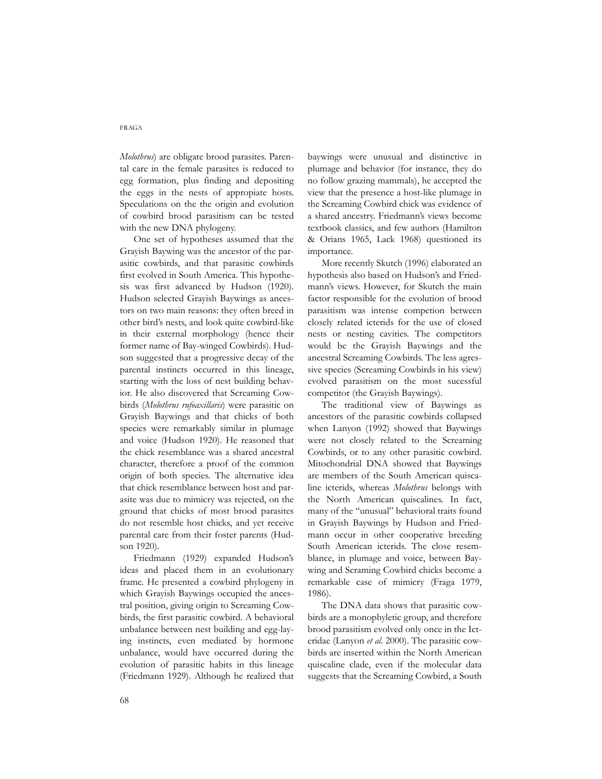*Molothrus*) are obligate brood parasites. Parental care in the female parasites is reduced to egg formation, plus finding and depositing the eggs in the nests of appropiate hosts. Speculations on the the origin and evolution of cowbird brood parasitism can be tested with the new DNA phylogeny.

One set of hypotheses assumed that the Grayish Baywing was the ancestor of the parasitic cowbirds, and that parasitic cowbirds first evolved in South America. This hypothesis was first advanced by Hudson (1920). Hudson selected Grayish Baywings as ancestors on two main reasons: they often breed in other bird's nests, and look quite cowbird-like in their external morphology (hence their former name of Bay-winged Cowbirds). Hudson suggested that a progressive decay of the parental instincts occurred in this lineage, starting with the loss of nest building behavior. He also discovered that Screaming Cowbirds (*Molothrus rufoaxillaris*) were parasitic on Grayish Baywings and that chicks of both species were remarkably similar in plumage and voice (Hudson 1920). He reasoned that the chick resemblance was a shared ancestral character, therefore a proof of the common origin of both species. The alternative idea that chick resemblance between host and parasite was due to mimicry was rejected, on the ground that chicks of most brood parasites do not resemble host chicks, and yet receive parental care from their foster parents (Hudson 1920).

Friedmann (1929) expanded Hudson's ideas and placed them in an evolutionary frame. He presented a cowbird phylogeny in which Grayish Baywings occupied the ancestral position, giving origin to Screaming Cowbirds, the first parasitic cowbird. A behavioral unbalance between nest building and egg-laying instincts, even mediated by hormone unbalance, would have occurred during the evolution of parasitic habits in this lineage (Friedmann 1929). Although he realized that baywings were unusual and distinctive in plumage and behavior (for instance, they do no follow grazing mammals), he accepted the view that the presence a host-like plumage in the Screaming Cowbird chick was evidence of a shared ancestry. Friedmann's views become textbook classics, and few authors (Hamilton & Orians 1965, Lack 1968) questioned its importance.

More recently Skutch (1996) elaborated an hypothesis also based on Hudson's and Friedmann's views. However, for Skutch the main factor responsible for the evolution of brood parasitism was intense competion between closely related icterids for the use of closed nests or nesting cavities. The competitors would be the Grayish Baywings and the ancestral Screaming Cowbirds. The less agressive species (Screaming Cowbirds in his view) evolved parasitism on the most sucessful competitor (the Grayish Baywings).

The traditional view of Baywings as ancestors of the parasitic cowbirds collapsed when Lanyon (1992) showed that Baywings were not closely related to the Screaming Cowbirds, or to any other parasitic cowbird. Mitochondrial DNA showed that Baywings are members of the South American quiscaline icterids, whereas *Molothrus* belongs with the North American quiscalines. In fact, many of the "unusual" behavioral traits found in Grayish Baywings by Hudson and Friedmann occur in other cooperative breeding South American icterids. The close resemblance, in plumage and voice, between Baywing and Scraming Cowbird chicks become a remarkable case of mimicry (Fraga 1979, 1986).

The DNA data shows that parasitic cowbirds are a monophyletic group, and therefore brood parasitism evolved only once in the Icteridae (Lanyon *et al*. 2000). The parasitic cowbirds are inserted within the North American quiscaline clade, even if the molecular data suggests that the Screaming Cowbird, a South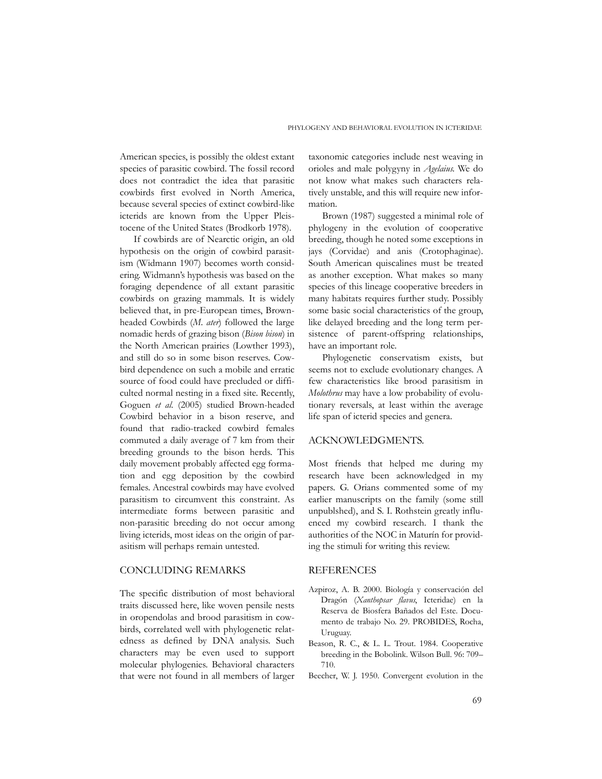American species, is possibly the oldest extant species of parasitic cowbird. The fossil record does not contradict the idea that parasitic cowbirds first evolved in North America, because several species of extinct cowbird-like icterids are known from the Upper Pleistocene of the United States (Brodkorb 1978).

If cowbirds are of Nearctic origin, an old hypothesis on the origin of cowbird parasitism (Widmann 1907) becomes worth considering. Widmann's hypothesis was based on the foraging dependence of all extant parasitic cowbirds on grazing mammals. It is widely believed that, in pre-European times, Brownheaded Cowbirds (*M. ater*) followed the large nomadic herds of grazing bison (*Bison bison*) in the North American prairies (Lowther 1993), and still do so in some bison reserves. Cowbird dependence on such a mobile and erratic source of food could have precluded or difficulted normal nesting in a fixed site. Recently, Goguen *et al.* (2005) studied Brown-headed Cowbird behavior in a bison reserve, and found that radio-tracked cowbird females commuted a daily average of 7 km from their breeding grounds to the bison herds. This daily movement probably affected egg formation and egg deposition by the cowbird females. Ancestral cowbirds may have evolved parasitism to circumvent this constraint. As intermediate forms between parasitic and non-parasitic breeding do not occur among living icterids, most ideas on the origin of parasitism will perhaps remain untested.

### CONCLUDING REMARKS

The specific distribution of most behavioral traits discussed here, like woven pensile nests in oropendolas and brood parasitism in cowbirds, correlated well with phylogenetic relatedness as defined by DNA analysis. Such characters may be even used to support molecular phylogenies. Behavioral characters that were not found in all members of larger taxonomic categories include nest weaving in orioles and male polygyny in *Agelaius*. We do not know what makes such characters relatively unstable, and this will require new information.

Brown (1987) suggested a minimal role of phylogeny in the evolution of cooperative breeding, though he noted some exceptions in jays (Corvidae) and anis (Crotophaginae). South American quiscalines must be treated as another exception. What makes so many species of this lineage cooperative breeders in many habitats requires further study. Possibly some basic social characteristics of the group, like delayed breeding and the long term persistence of parent-offspring relationships, have an important role.

Phylogenetic conservatism exists, but seems not to exclude evolutionary changes. A few characteristics like brood parasitism in *Molothrus* may have a low probability of evolutionary reversals, at least within the average life span of icterid species and genera.

#### ACKNOWLEDGMENTS.

Most friends that helped me during my research have been acknowledged in my papers. G. Orians commented some of my earlier manuscripts on the family (some still unpublshed), and S. I. Rothstein greatly influenced my cowbird research. I thank the authorities of the NOC in Maturín for providing the stimuli for writing this review.

### REFERENCES

- Azpiroz, A. B. 2000. Biología y conservación del Dragón (*Xanthopsar flavus*, Icteridae) en la Reserva de Biosfera Bañados del Este. Documento de trabajo No. 29. PROBIDES, Rocha, Uruguay.
- Beason, R. C., & L. L. Trout. 1984. Cooperative breeding in the Bobolink. Wilson Bull. 96: 709*–* 710.
- Beecher, W. J. 1950. Convergent evolution in the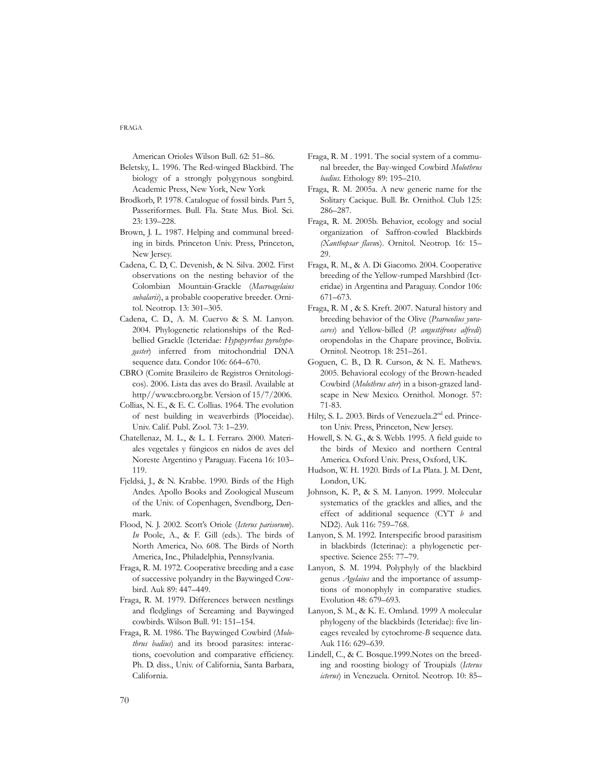American Orioles Wilson Bull. 62: 51*–*86.

- Beletsky, L. 1996. The Red-winged Blackbird. The biology of a strongly polygynous songbird. Academic Press, New York, New York
- Brodkorb, P. 1978. Catalogue of fossil birds. Part 5, Passeriformes. Bull. Fla. State Mus. Biol. Sci. 23: 139*–*228.
- Brown, J. L. 1987. Helping and communal breeding in birds. Princeton Univ. Press, Princeton, New Jersey.
- Cadena, C. D, C. Devenish, & N. Silva. 2002. First observations on the nesting behavior of the Colombian Mountain-Grackle (*Macroagelaius subalaris*), a probable cooperative breeder. Ornitol. Neotrop. 13: 301*–*305.
- Cadena, C. D., A. M. Cuervo & S. M. Lanyon. 2004. Phylogenetic relationships of the Redbellied Grackle (Icteridae: *Hypopyrrhus pyrohypogaster*) inferred from mitochondrial DNA sequence data. Condor 106: 664*–*670.
- CBRO (Comite Brasileiro de Registros Ornitologicos). 2006. Lista das aves do Brasil. Available at http//www.cbro.org.br. Version of 15/7/2006.
- Collias, N. E., & E. C. Collias. 1964. The evolution of nest building in weaverbirds (Ploceidae). Univ. Calif. Publ. Zool. 73: 1*–*239.
- Chatellenaz, M. L., & L. I. Ferraro. 2000. Materiales vegetales y fúngicos en nidos de aves del Noreste Argentino y Paraguay. Facena 16: 103*–* 119.
- Fjeldså, J., & N. Krabbe. 1990. Birds of the High Andes. Apollo Books and Zoological Museum of the Univ. of Copenhagen, Svendborg, Denmark.
- Flood, N. J. 2002. Scott's Oriole (*Icterus parisorum*). *In* Poole, A., & F. Gill (eds.). The birds of North America, No. 608. The Birds of North America, Inc., Philadelphia, Pennsylvania.
- Fraga, R. M. 1972. Cooperative breeding and a case of successive polyandry in the Baywinged Cowbird. Auk 89: 447*–*449.
- Fraga, R. M. 1979. Differences between nestlings and fledglings of Screaming and Baywinged cowbirds. Wilson Bull. 91: 151*–*154.
- Fraga, R. M. 1986. The Baywinged Cowbird (*Molothrus badius*) and its brood parasites: interactions, coevolution and comparative efficiency. Ph. D. diss., Univ. of California, Santa Barbara, California.
- Fraga, R. M . 1991. The social system of a communal breeder, the Bay-winged Cowbird *Molothrus badius*. Ethology 89: 195*–*210.
- Fraga, R. M. 2005a. A new generic name for the Solitary Cacique. Bull. Br. Ornithol. Club 125: 286*–*287.
- Fraga, R. M. 2005b. Behavior, ecology and social organization of Saffron-cowled Blackbirds *(Xanthopsar flavu*s). Ornitol. Neotrop. 16: 15*–* 29.
- Fraga, R. M., & A. Di Giacomo. 2004. Cooperative breeding of the Yellow-rumped Marshbird (Icteridae) in Argentina and Paraguay. Condor 106: 671*–*673.
- Fraga, R. M , & S. Kreft. 2007. Natural history and breeding behavior of the Olive (*Psarocolius yuracares*) and Yellow-billed (*P*. *angustifrons alfredi*) oropendolas in the Chapare province, Bolivia. Ornitol. Neotrop. 18: 251–261.
- Goguen, C. B., D. R. Curson, & N. E. Mathews. 2005. Behavioral ecology of the Brown-headed Cowbird (*Molothrus ater*) in a bison-grazed landscape in New Mexico. Ornithol. Monogr. 57: 71-83.
- Hilty, S. L. 2003. Birds of Venezuela.2<sup>nd</sup> ed. Princeton Univ. Press, Princeton, New Jersey.
- Howell, S. N. G., & S. Webb. 1995. A field guide to the birds of Mexico and northern Central America. Oxford Univ. Press, Oxford, UK.
- Hudson, W. H. 1920. Birds of La Plata. J. M. Dent, London, UK.
- Johnson, K. P., & S. M. Lanyon. 1999. Molecular systematics of the grackles and allies, and the effect of additional sequence (CYT *b* and ND2). Auk 116: 759*–*768.
- Lanyon, S. M. 1992. Interspecific brood parasitism in blackbirds (Icterinae): a phylogenetic perspective. Science 255: 77*–*79.
- Lanyon, S. M. 1994. Polyphyly of the blackbird genus *Agelaius* and the importance of assumptions of monophyly in comparative studies. Evolution 48: 679*–*693.
- Lanyon, S. M., & K. E. Omland. 1999 A molecular phylogeny of the blackbirds (Icteridae): five lineages revealed by cytochrome-*B* sequence data. Auk 116: 629*–*639.
- Lindell, C., & C. Bosque.1999.Notes on the breeding and roosting biology of Troupials (*Icterus icterus*) in Venezuela. Ornitol. Neotrop. 10: 85*–*